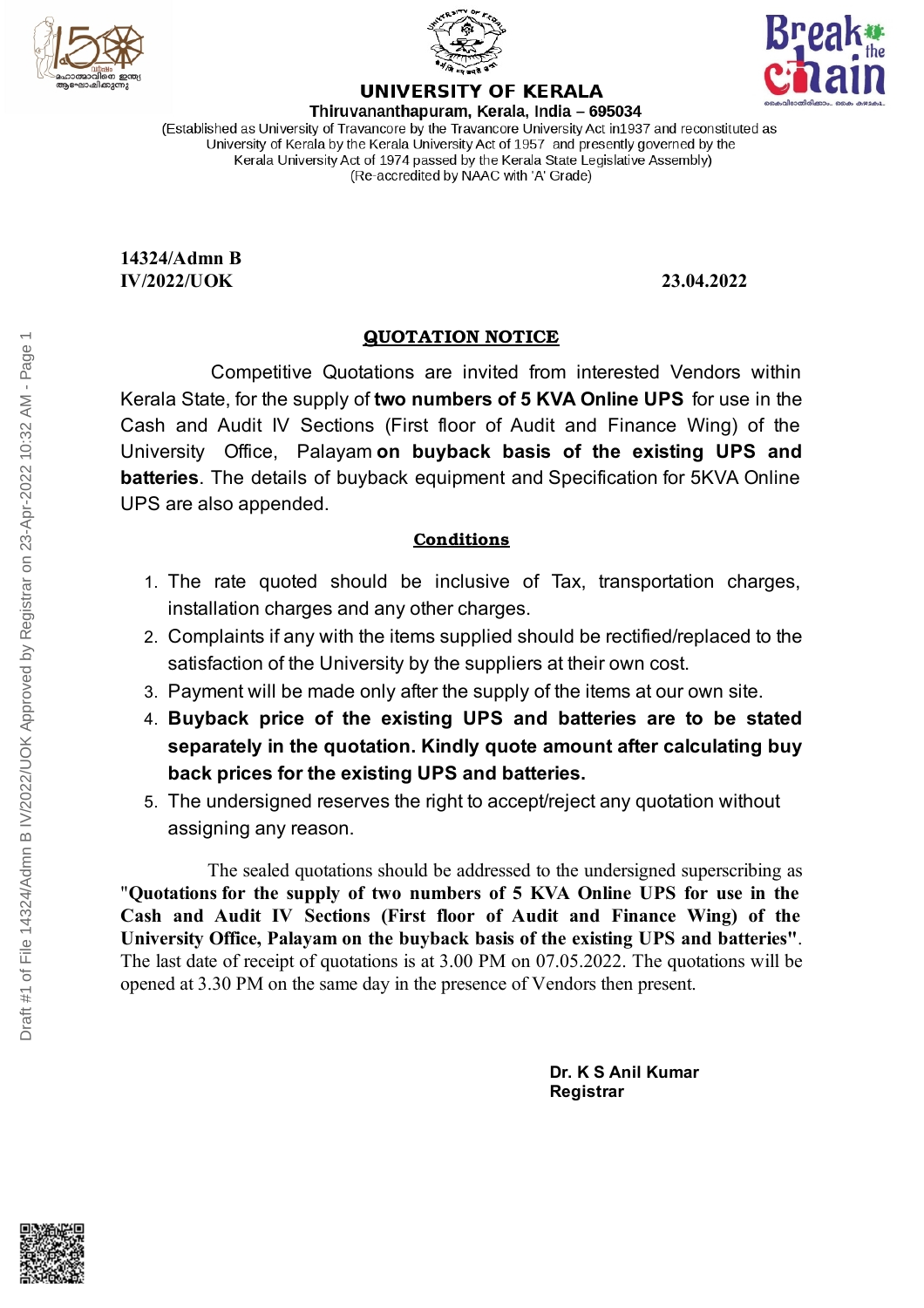





**UNIVERSITY OF KERALA** Thiruvananthapuram, Kerala, India - 695034

(Established as University of Travancore by the Travancore University Act in 1937 and reconstituted as University of Kerala by the Kerala University Act of 1957 and presently governed by the Kerala University Act of 1974 passed by the Kerala State Legislative Assembly) (Re-accredited by NAAC with 'A' Grade)

**14324/Admn B IV/2022/UOK 23.04.2022**

## **QUOTATION NOTICE**

Competitive Quotations are invited from interested Vendors within Kerala State, for the supply of **two numbers of 5 KVA Online UPS** for use in the Cash and Audit IV Sections (First floor of Audit and Finance Wing) of the University Office, Palayam **on buyback basis of the existing UPS and batteries**. The details of buyback equipment and Specification for 5KVA Online UPS are also appended.

## **Conditions**

- 1. The rate quoted should be inclusive of Tax, transportation charges, installation charges and any other charges.
- 2. Complaints if any with the items supplied should be rectified/replaced to the satisfaction of the University by the suppliers at their own cost.
- 3. Payment will be made only after the supply of the items at our own site.
- 4. **Buyback price of the existing UPS and batteries are to be stated separately in the quotation. Kindly quote amount after calculating buy back prices for the existing UPS and batteries.**
- 5. The undersigned reserves the right to accept/reject any quotation without assigning any reason.

The sealed quotations should be addressed to the undersigned superscribing as "**Quotations for the supply of two numbers of 5 KVA Online UPS for use in the Cash and Audit IV Sections (First floor of Audit and Finance Wing) of the University Office, Palayam on the buyback basis of the existing UPS and batteries"**. The last date of receipt of quotations is at 3.00 PM on 07.05.2022. The quotations will be opened at 3.30 PM on the same day in the presence of Vendors then present.

> **Dr. K S Anil Kumar Registrar**